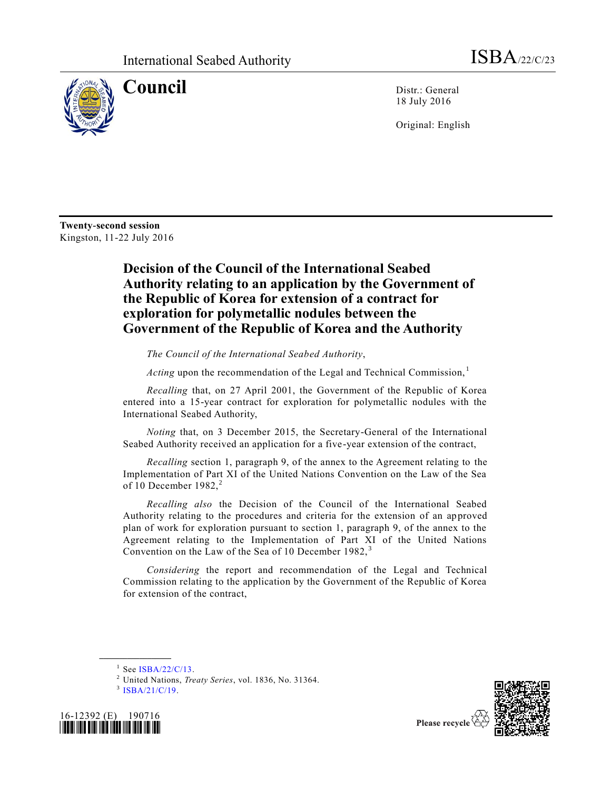

**Council** Distr.: General 18 July 2016

Original: English

**Twenty-second session** Kingston, 11-22 July 2016

## **Decision of the Council of the International Seabed Authority relating to an application by the Government of the Republic of Korea for extension of a contract for exploration for polymetallic nodules between the Government of the Republic of Korea and the Authority**

*The Council of the International Seabed Authority*,

Acting upon the recommendation of the Legal and Technical Commission,<sup>1</sup>

*Recalling* that, on 27 April 2001, the Government of the Republic of Korea entered into a 15-year contract for exploration for polymetallic nodules with the International Seabed Authority,

*Noting* that, on 3 December 2015, the Secretary-General of the International Seabed Authority received an application for a five-year extension of the contract,

*Recalling* section 1, paragraph 9, of the annex to the Agreement relating to the Implementation of Part XI of the United Nations Convention on the Law of the Sea of 10 December  $1982$ <sup>2</sup>

*Recalling also* the Decision of the Council of the International Seabed Authority relating to the procedures and criteria for the extension of an approved plan of work for exploration pursuant to section 1, paragraph 9, of the annex to the Agreement relating to the Implementation of Part XI of the United Nations Convention on the Law of the Sea of 10 December 1982, <sup>3</sup>

*Considering* the report and recommendation of the Legal and Technical Commission relating to the application by the Government of the Republic of Korea for extension of the contract,

 $1$  See [ISBA/22/C/13.](http://undocs.org/ISBA/22/C/13)

<sup>3</sup> [ISBA/21/C/19.](http://undocs.org/ISBA/21/C/19)

**\_\_\_\_\_\_\_\_\_\_\_\_\_\_\_\_\_\_**





Please recycle

<sup>2</sup> United Nations, *Treaty Series*, vol. 1836, No. 31364.